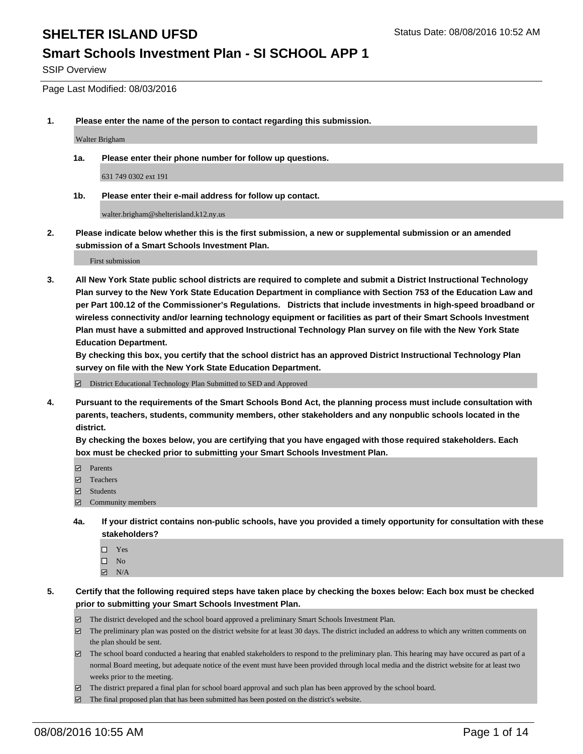#### **Smart Schools Investment Plan - SI SCHOOL APP 1**

SSIP Overview

Page Last Modified: 08/03/2016

**1. Please enter the name of the person to contact regarding this submission.**

Walter Brigham

**1a. Please enter their phone number for follow up questions.**

631 749 0302 ext 191

**1b. Please enter their e-mail address for follow up contact.**

walter.brigham@shelterisland.k12.ny.us

**2. Please indicate below whether this is the first submission, a new or supplemental submission or an amended submission of a Smart Schools Investment Plan.**

First submission

**3. All New York State public school districts are required to complete and submit a District Instructional Technology Plan survey to the New York State Education Department in compliance with Section 753 of the Education Law and per Part 100.12 of the Commissioner's Regulations. Districts that include investments in high-speed broadband or wireless connectivity and/or learning technology equipment or facilities as part of their Smart Schools Investment Plan must have a submitted and approved Instructional Technology Plan survey on file with the New York State Education Department.** 

**By checking this box, you certify that the school district has an approved District Instructional Technology Plan survey on file with the New York State Education Department.**

District Educational Technology Plan Submitted to SED and Approved

**4. Pursuant to the requirements of the Smart Schools Bond Act, the planning process must include consultation with parents, teachers, students, community members, other stakeholders and any nonpublic schools located in the district.** 

**By checking the boxes below, you are certifying that you have engaged with those required stakeholders. Each box must be checked prior to submitting your Smart Schools Investment Plan.**

- **Parents**
- Teachers
- Students
- Community members
- **4a. If your district contains non-public schools, have you provided a timely opportunity for consultation with these stakeholders?**
	- $\Box$  Yes  $\square$  No
	- $\boxtimes$  N/A
- **5. Certify that the following required steps have taken place by checking the boxes below: Each box must be checked prior to submitting your Smart Schools Investment Plan.**
	- The district developed and the school board approved a preliminary Smart Schools Investment Plan.
	- $\boxdot$  The preliminary plan was posted on the district website for at least 30 days. The district included an address to which any written comments on the plan should be sent.
	- The school board conducted a hearing that enabled stakeholders to respond to the preliminary plan. This hearing may have occured as part of a normal Board meeting, but adequate notice of the event must have been provided through local media and the district website for at least two weeks prior to the meeting.
	- The district prepared a final plan for school board approval and such plan has been approved by the school board.
	- $\boxdot$  The final proposed plan that has been submitted has been posted on the district's website.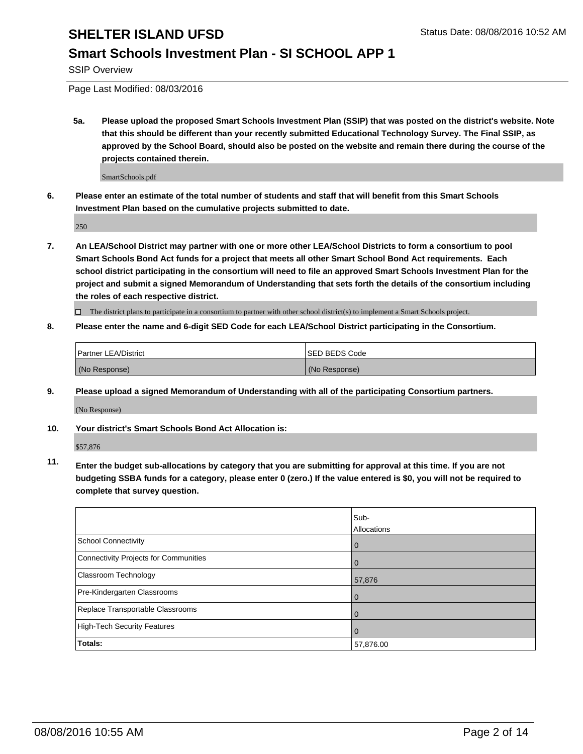### **Smart Schools Investment Plan - SI SCHOOL APP 1**

SSIP Overview

Page Last Modified: 08/03/2016

**5a. Please upload the proposed Smart Schools Investment Plan (SSIP) that was posted on the district's website. Note that this should be different than your recently submitted Educational Technology Survey. The Final SSIP, as approved by the School Board, should also be posted on the website and remain there during the course of the projects contained therein.**

SmartSchools.pdf

**6. Please enter an estimate of the total number of students and staff that will benefit from this Smart Schools Investment Plan based on the cumulative projects submitted to date.**

250

**7. An LEA/School District may partner with one or more other LEA/School Districts to form a consortium to pool Smart Schools Bond Act funds for a project that meets all other Smart School Bond Act requirements. Each school district participating in the consortium will need to file an approved Smart Schools Investment Plan for the project and submit a signed Memorandum of Understanding that sets forth the details of the consortium including the roles of each respective district.**

 $\Box$  The district plans to participate in a consortium to partner with other school district(s) to implement a Smart Schools project.

#### **8. Please enter the name and 6-digit SED Code for each LEA/School District participating in the Consortium.**

| <b>Partner LEA/District</b> | <b>ISED BEDS Code</b> |
|-----------------------------|-----------------------|
| (No Response)               | (No Response)         |

**9. Please upload a signed Memorandum of Understanding with all of the participating Consortium partners.**

(No Response)

**10. Your district's Smart Schools Bond Act Allocation is:**

\$57,876

**11. Enter the budget sub-allocations by category that you are submitting for approval at this time. If you are not budgeting SSBA funds for a category, please enter 0 (zero.) If the value entered is \$0, you will not be required to complete that survey question.**

|                                       | Sub-<br>Allocations |
|---------------------------------------|---------------------|
| <b>School Connectivity</b>            | 0                   |
| Connectivity Projects for Communities | 0                   |
| Classroom Technology                  | 57,876              |
| Pre-Kindergarten Classrooms           | $\Omega$            |
| Replace Transportable Classrooms      | $\Omega$            |
| High-Tech Security Features           | 0                   |
| <b>Totals:</b>                        | 57,876.00           |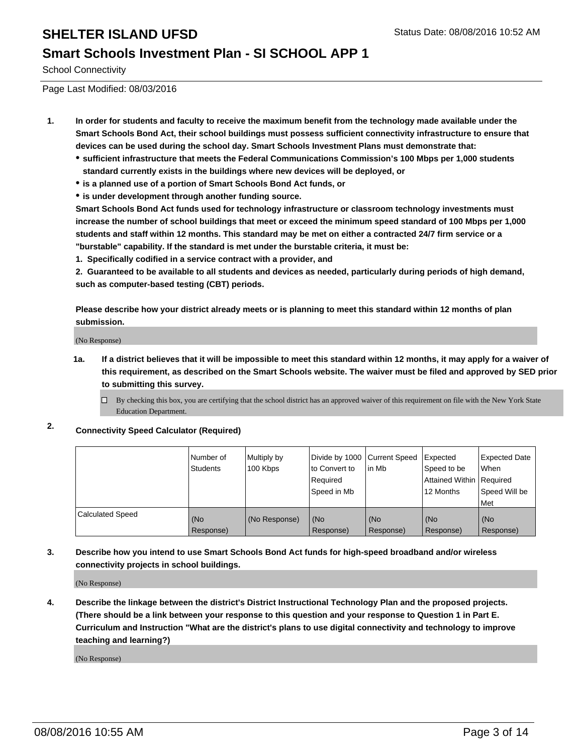#### **Smart Schools Investment Plan - SI SCHOOL APP 1**

School Connectivity

Page Last Modified: 08/03/2016

- **1. In order for students and faculty to receive the maximum benefit from the technology made available under the Smart Schools Bond Act, their school buildings must possess sufficient connectivity infrastructure to ensure that devices can be used during the school day. Smart Schools Investment Plans must demonstrate that:**
	- **sufficient infrastructure that meets the Federal Communications Commission's 100 Mbps per 1,000 students standard currently exists in the buildings where new devices will be deployed, or**
	- **is a planned use of a portion of Smart Schools Bond Act funds, or**
	- **is under development through another funding source.**

**Smart Schools Bond Act funds used for technology infrastructure or classroom technology investments must increase the number of school buildings that meet or exceed the minimum speed standard of 100 Mbps per 1,000 students and staff within 12 months. This standard may be met on either a contracted 24/7 firm service or a "burstable" capability. If the standard is met under the burstable criteria, it must be:**

**1. Specifically codified in a service contract with a provider, and**

**2. Guaranteed to be available to all students and devices as needed, particularly during periods of high demand, such as computer-based testing (CBT) periods.**

**Please describe how your district already meets or is planning to meet this standard within 12 months of plan submission.**

(No Response)

- **1a. If a district believes that it will be impossible to meet this standard within 12 months, it may apply for a waiver of this requirement, as described on the Smart Schools website. The waiver must be filed and approved by SED prior to submitting this survey.**
	- $\Box$  By checking this box, you are certifying that the school district has an approved waiver of this requirement on file with the New York State Education Department.
- **2. Connectivity Speed Calculator (Required)**

|                         | Number of<br><b>Students</b> | Multiply by<br>100 Kbps | Divide by 1000 Current Speed<br>to Convert to<br>Required<br>Speed in Mb | lin Mb           | Expected<br>Speed to be<br>Attained Within Required<br>12 Months | Expected Date<br>l When<br>Speed Will be<br>l Met |
|-------------------------|------------------------------|-------------------------|--------------------------------------------------------------------------|------------------|------------------------------------------------------------------|---------------------------------------------------|
| <b>Calculated Speed</b> | (No<br>Response)             | (No Response)           | (No<br>Response)                                                         | (No<br>Response) | (No<br>Response)                                                 | (No<br>Response)                                  |

#### **3. Describe how you intend to use Smart Schools Bond Act funds for high-speed broadband and/or wireless connectivity projects in school buildings.**

(No Response)

**4. Describe the linkage between the district's District Instructional Technology Plan and the proposed projects. (There should be a link between your response to this question and your response to Question 1 in Part E. Curriculum and Instruction "What are the district's plans to use digital connectivity and technology to improve teaching and learning?)**

(No Response)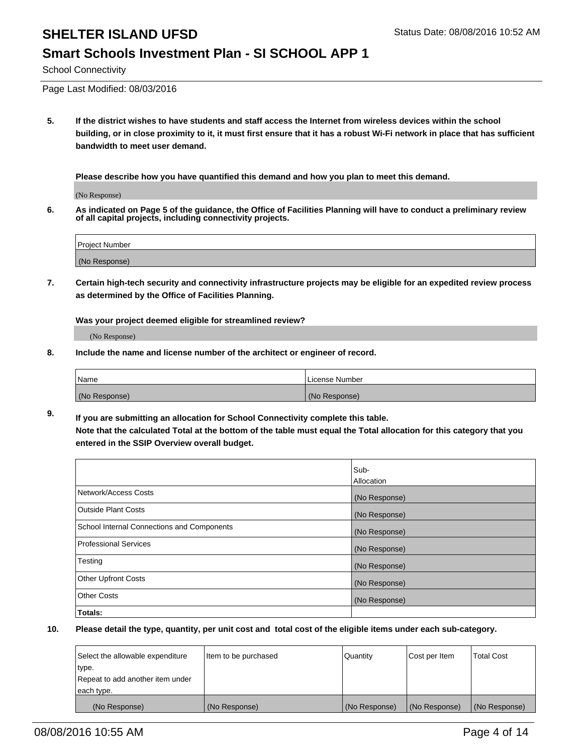#### **Smart Schools Investment Plan - SI SCHOOL APP 1**

School Connectivity

Page Last Modified: 08/03/2016

**5. If the district wishes to have students and staff access the Internet from wireless devices within the school building, or in close proximity to it, it must first ensure that it has a robust Wi-Fi network in place that has sufficient bandwidth to meet user demand.**

**Please describe how you have quantified this demand and how you plan to meet this demand.**

(No Response)

**6. As indicated on Page 5 of the guidance, the Office of Facilities Planning will have to conduct a preliminary review of all capital projects, including connectivity projects.**

| <b>Project Number</b> |  |
|-----------------------|--|
|                       |  |
| (No Response)         |  |

**7. Certain high-tech security and connectivity infrastructure projects may be eligible for an expedited review process as determined by the Office of Facilities Planning.**

**Was your project deemed eligible for streamlined review?**

(No Response)

**8. Include the name and license number of the architect or engineer of record.**

| <b>Name</b>   | License Number |
|---------------|----------------|
| (No Response) | (No Response)  |

**9. If you are submitting an allocation for School Connectivity complete this table. Note that the calculated Total at the bottom of the table must equal the Total allocation for this category that you entered in the SSIP Overview overall budget.** 

|                                            | Sub-          |
|--------------------------------------------|---------------|
|                                            | Allocation    |
| Network/Access Costs                       | (No Response) |
| <b>Outside Plant Costs</b>                 | (No Response) |
| School Internal Connections and Components | (No Response) |
| Professional Services                      | (No Response) |
| Testing                                    | (No Response) |
| <b>Other Upfront Costs</b>                 | (No Response) |
| <b>Other Costs</b>                         | (No Response) |
| Totals:                                    |               |

| Select the allowable expenditure | litem to be purchased | Quantity      | Cost per Item | <b>Total Cost</b> |
|----------------------------------|-----------------------|---------------|---------------|-------------------|
| type.                            |                       |               |               |                   |
| Repeat to add another item under |                       |               |               |                   |
| each type.                       |                       |               |               |                   |
| (No Response)                    | (No Response)         | (No Response) | (No Response) | (No Response)     |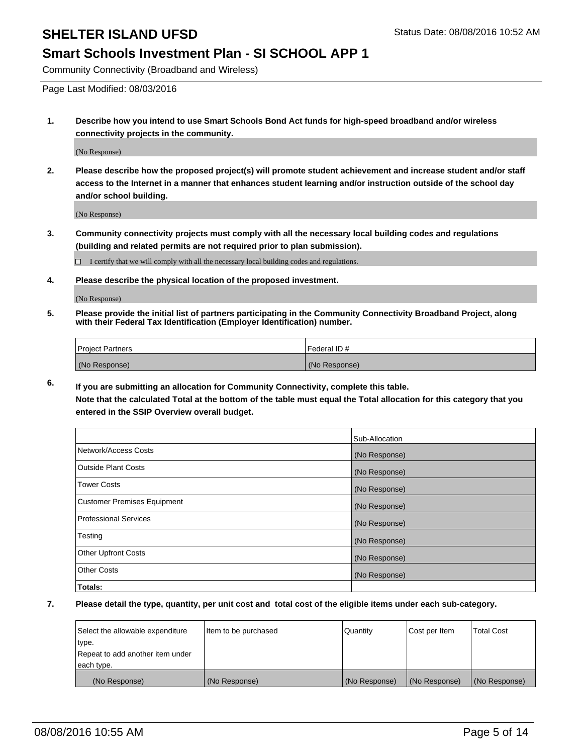#### **Smart Schools Investment Plan - SI SCHOOL APP 1**

Community Connectivity (Broadband and Wireless)

Page Last Modified: 08/03/2016

**1. Describe how you intend to use Smart Schools Bond Act funds for high-speed broadband and/or wireless connectivity projects in the community.**

(No Response)

**2. Please describe how the proposed project(s) will promote student achievement and increase student and/or staff access to the Internet in a manner that enhances student learning and/or instruction outside of the school day and/or school building.**

(No Response)

**3. Community connectivity projects must comply with all the necessary local building codes and regulations (building and related permits are not required prior to plan submission).**

 $\Box$  I certify that we will comply with all the necessary local building codes and regulations.

**4. Please describe the physical location of the proposed investment.**

(No Response)

**5. Please provide the initial list of partners participating in the Community Connectivity Broadband Project, along with their Federal Tax Identification (Employer Identification) number.**

| Project Partners | <b>IFederal ID#</b> |
|------------------|---------------------|
| (No Response)    | (No Response)       |

**6. If you are submitting an allocation for Community Connectivity, complete this table. Note that the calculated Total at the bottom of the table must equal the Total allocation for this category that you**

**entered in the SSIP Overview overall budget.**

|                                    | Sub-Allocation |
|------------------------------------|----------------|
| Network/Access Costs               | (No Response)  |
| <b>Outside Plant Costs</b>         | (No Response)  |
| <b>Tower Costs</b>                 | (No Response)  |
| <b>Customer Premises Equipment</b> | (No Response)  |
| <b>Professional Services</b>       | (No Response)  |
| Testing                            | (No Response)  |
| <b>Other Upfront Costs</b>         | (No Response)  |
| <b>Other Costs</b>                 | (No Response)  |
| Totals:                            |                |

| Select the allowable expenditure | Item to be purchased | Quantity      | Cost per Item | <b>Total Cost</b> |
|----------------------------------|----------------------|---------------|---------------|-------------------|
| type.                            |                      |               |               |                   |
| Repeat to add another item under |                      |               |               |                   |
| each type.                       |                      |               |               |                   |
| (No Response)                    | (No Response)        | (No Response) | (No Response) | (No Response)     |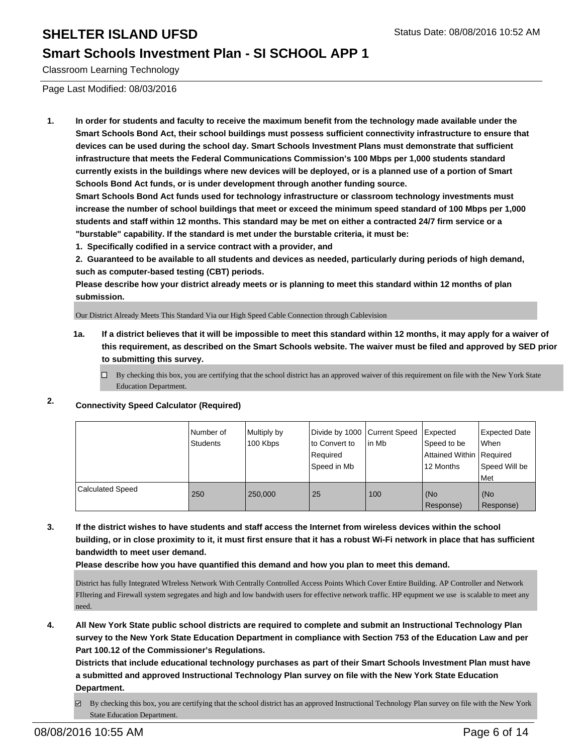### **Smart Schools Investment Plan - SI SCHOOL APP 1**

Classroom Learning Technology

Page Last Modified: 08/03/2016

**1. In order for students and faculty to receive the maximum benefit from the technology made available under the Smart Schools Bond Act, their school buildings must possess sufficient connectivity infrastructure to ensure that devices can be used during the school day. Smart Schools Investment Plans must demonstrate that sufficient infrastructure that meets the Federal Communications Commission's 100 Mbps per 1,000 students standard currently exists in the buildings where new devices will be deployed, or is a planned use of a portion of Smart Schools Bond Act funds, or is under development through another funding source.**

**Smart Schools Bond Act funds used for technology infrastructure or classroom technology investments must increase the number of school buildings that meet or exceed the minimum speed standard of 100 Mbps per 1,000 students and staff within 12 months. This standard may be met on either a contracted 24/7 firm service or a "burstable" capability. If the standard is met under the burstable criteria, it must be:**

**1. Specifically codified in a service contract with a provider, and**

**2. Guaranteed to be available to all students and devices as needed, particularly during periods of high demand, such as computer-based testing (CBT) periods.**

**Please describe how your district already meets or is planning to meet this standard within 12 months of plan submission.**

Our District Already Meets This Standard Via our High Speed Cable Connection through Cablevision

- **1a. If a district believes that it will be impossible to meet this standard within 12 months, it may apply for a waiver of this requirement, as described on the Smart Schools website. The waiver must be filed and approved by SED prior to submitting this survey.**
	- $\Box$  By checking this box, you are certifying that the school district has an approved waiver of this requirement on file with the New York State Education Department.

### **2. Connectivity Speed Calculator (Required)**

|                         | INumber of<br>Students | Multiply by<br>100 Kbps | Divide by 1000 Current Speed<br>Ito Convert to<br>Required<br>Speed in Mb | lin Mb | Expected<br>Speed to be<br>Attained Within   Required<br>12 Months | Expected Date<br><b>When</b><br>Speed Will be<br>l Met |
|-------------------------|------------------------|-------------------------|---------------------------------------------------------------------------|--------|--------------------------------------------------------------------|--------------------------------------------------------|
| <b>Calculated Speed</b> | 250                    | 250,000                 | 25                                                                        | 100    | (No<br>Response)                                                   | l (No<br>Response)                                     |

**3. If the district wishes to have students and staff access the Internet from wireless devices within the school building, or in close proximity to it, it must first ensure that it has a robust Wi-Fi network in place that has sufficient bandwidth to meet user demand.**

**Please describe how you have quantified this demand and how you plan to meet this demand.**

District has fully Integrated WIreless Network With Centrally Controlled Access Points Which Cover Entire Building. AP Controller and Network FIltering and Firewall system segregates and high and low bandwith users for effective network traffic. HP equpment we use is scalable to meet any need.

**4. All New York State public school districts are required to complete and submit an Instructional Technology Plan survey to the New York State Education Department in compliance with Section 753 of the Education Law and per Part 100.12 of the Commissioner's Regulations.**

**Districts that include educational technology purchases as part of their Smart Schools Investment Plan must have a submitted and approved Instructional Technology Plan survey on file with the New York State Education Department.**

 $\boxtimes$  By checking this box, you are certifying that the school district has an approved Instructional Technology Plan survey on file with the New York State Education Department.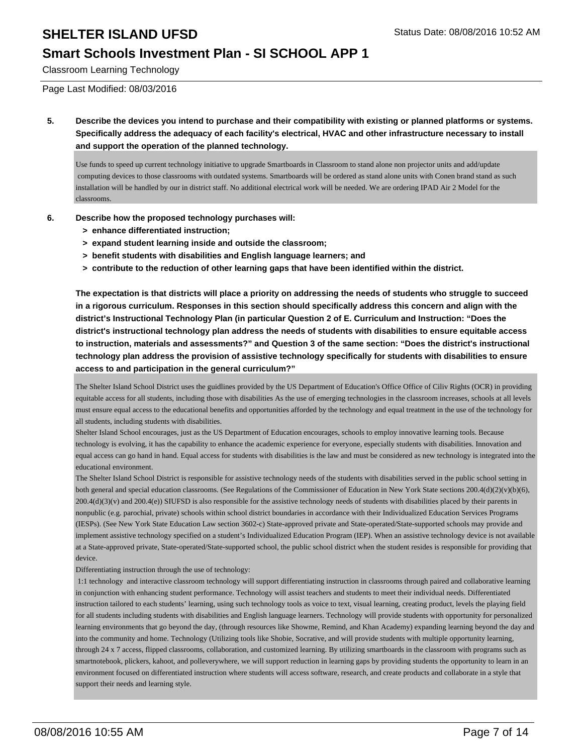### **Smart Schools Investment Plan - SI SCHOOL APP 1**

Classroom Learning Technology

Page Last Modified: 08/03/2016

**5. Describe the devices you intend to purchase and their compatibility with existing or planned platforms or systems. Specifically address the adequacy of each facility's electrical, HVAC and other infrastructure necessary to install and support the operation of the planned technology.**

Use funds to speed up current technology initiative to upgrade Smartboards in Classroom to stand alone non projector units and add/update computing devices to those classrooms with outdated systems. Smartboards will be ordered as stand alone units with Conen brand stand as such installation will be handled by our in district staff. No additional electrical work will be needed. We are ordering IPAD Air 2 Model for the classrooms.

- **6. Describe how the proposed technology purchases will:**
	- **> enhance differentiated instruction;**
	- **> expand student learning inside and outside the classroom;**
	- **> benefit students with disabilities and English language learners; and**
	- **> contribute to the reduction of other learning gaps that have been identified within the district.**

**The expectation is that districts will place a priority on addressing the needs of students who struggle to succeed in a rigorous curriculum. Responses in this section should specifically address this concern and align with the district's Instructional Technology Plan (in particular Question 2 of E. Curriculum and Instruction: "Does the district's instructional technology plan address the needs of students with disabilities to ensure equitable access to instruction, materials and assessments?" and Question 3 of the same section: "Does the district's instructional technology plan address the provision of assistive technology specifically for students with disabilities to ensure access to and participation in the general curriculum?"**

The Shelter Island School District uses the guidlines provided by the US Department of Education's Office Office of Ciliv Rights (OCR) in providing equitable access for all students, including those with disabilities As the use of emerging technologies in the classroom increases, schools at all levels must ensure equal access to the educational benefits and opportunities afforded by the technology and equal treatment in the use of the technology for all students, including students with disabilities.

Shelter Island School encourages, just as the US Department of Education encourages, schools to employ innovative learning tools. Because technology is evolving, it has the capability to enhance the academic experience for everyone, especially students with disabilities. Innovation and equal access can go hand in hand. Equal access for students with disabilities is the law and must be considered as new technology is integrated into the educational environment.

The Shelter Island School District is responsible for assistive technology needs of the students with disabilities served in the public school setting in both general and special education classrooms. (See Regulations of the Commissioner of Education in New York State sections 200.4(d)(2)(v)(b)(6), 200.4(d)(3)(v) and 200.4(e)) SIUFSD is also responsible for the assistive technology needs of students with disabilities placed by their parents in nonpublic (e.g. parochial, private) schools within school district boundaries in accordance with their Individualized Education Services Programs (IESPs). (See New York State Education Law section 3602-c) State-approved private and State-operated/State-supported schools may provide and implement assistive technology specified on a student's Individualized Education Program (IEP). When an assistive technology device is not available at a State-approved private, State-operated/State-supported school, the public school district when the student resides is responsible for providing that device.

Differentiating instruction through the use of technology:

 1:1 technology and interactive classroom technology will support differentiating instruction in classrooms through paired and collaborative learning in conjunction with enhancing student performance. Technology will assist teachers and students to meet their individual needs. Differentiated instruction tailored to each students' learning, using such technology tools as voice to text, visual learning, creating product, levels the playing field for all students including students with disabilities and English language learners. Technology will provide students with opportunity for personalized learning environments that go beyond the day, (through resources like Showme, Remind, and Khan Academy) expanding learning beyond the day and into the community and home. Technology (Utilizing tools like Shobie, Socrative, and will provide students with multiple opportunity learning, through 24 x 7 access, flipped classrooms, collaboration, and customized learning. By utilizing smartboards in the classroom with programs such as smartnotebook, plickers, kahoot, and polleverywhere, we will support reduction in learning gaps by providing students the opportunity to learn in an environment focused on differentiated instruction where students will access software, research, and create products and collaborate in a style that support their needs and learning style.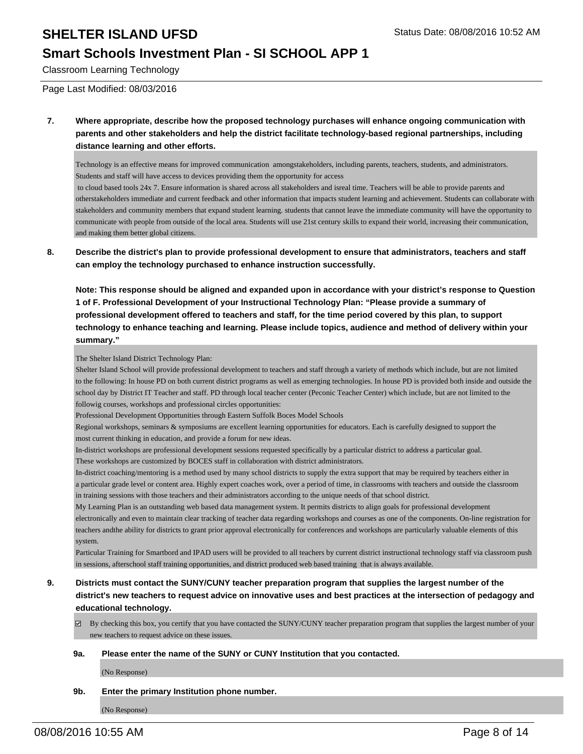### **Smart Schools Investment Plan - SI SCHOOL APP 1**

Classroom Learning Technology

Page Last Modified: 08/03/2016

**7. Where appropriate, describe how the proposed technology purchases will enhance ongoing communication with parents and other stakeholders and help the district facilitate technology-based regional partnerships, including distance learning and other efforts.**

Technology is an effective means for improved communication amongstakeholders, including parents, teachers, students, and administrators. Students and staff will have access to devices providing them the opportunity for access

 to cloud based tools 24x 7. Ensure information is shared across all stakeholders and isreal time. Teachers will be able to provide parents and otherstakeholders immediate and current feedback and other information that impacts student learning and achievement. Students can collaborate with stakeholders and community members that expand student learning. students that cannot leave the immediate community will have the opportunity to communicate with people from outside of the local area. Students will use 21st century skills to expand their world, increasing their communication, and making them better global citizens.

**8. Describe the district's plan to provide professional development to ensure that administrators, teachers and staff can employ the technology purchased to enhance instruction successfully.**

**Note: This response should be aligned and expanded upon in accordance with your district's response to Question 1 of F. Professional Development of your Instructional Technology Plan: "Please provide a summary of professional development offered to teachers and staff, for the time period covered by this plan, to support technology to enhance teaching and learning. Please include topics, audience and method of delivery within your summary."**

#### The Shelter Island District Technology Plan:

Shelter Island School will provide professional development to teachers and staff through a variety of methods which include, but are not limited to the following: In house PD on both current district programs as well as emerging technologies. In house PD is provided both inside and outside the school day by District IT Teacher and staff. PD through local teacher center (Peconic Teacher Center) which include, but are not limited to the followig courses, workshops and professional circles opportunities:

Professional Development Opportunities through Eastern Suffolk Boces Model Schools

Regional workshops, seminars & symposiums are excellent learning opportunities for educators. Each is carefully designed to support the most current thinking in education, and provide a forum for new ideas.

In-district workshops are professional development sessions requested specifically by a particular district to address a particular goal.

These workshops are customized by BOCES staff in collaboration with district administrators.

In-district coaching/mentoring is a method used by many school districts to supply the extra support that may be required by teachers either in a particular grade level or content area. Highly expert coaches work, over a period of time, in classrooms with teachers and outside the classroom in training sessions with those teachers and their administrators according to the unique needs of that school district.

My Learning Plan is an outstanding web based data management system. It permits districts to align goals for professional development electronically and even to maintain clear tracking of teacher data regarding workshops and courses as one of the components. On-line registration for teachers andthe ability for districts to grant prior approval electronically for conferences and workshops are particularly valuable elements of this system.

Particular Training for Smartbord and IPAD users will be provided to all teachers by current district instructional technology staff via classroom push in sessions, afterschool staff training opportunities, and district produced web based training that is always available.

- **9. Districts must contact the SUNY/CUNY teacher preparation program that supplies the largest number of the district's new teachers to request advice on innovative uses and best practices at the intersection of pedagogy and educational technology.**
	- $\boxtimes$  By checking this box, you certify that you have contacted the SUNY/CUNY teacher preparation program that supplies the largest number of your new teachers to request advice on these issues.

#### **9a. Please enter the name of the SUNY or CUNY Institution that you contacted.**

(No Response)

**9b. Enter the primary Institution phone number.**

(No Response)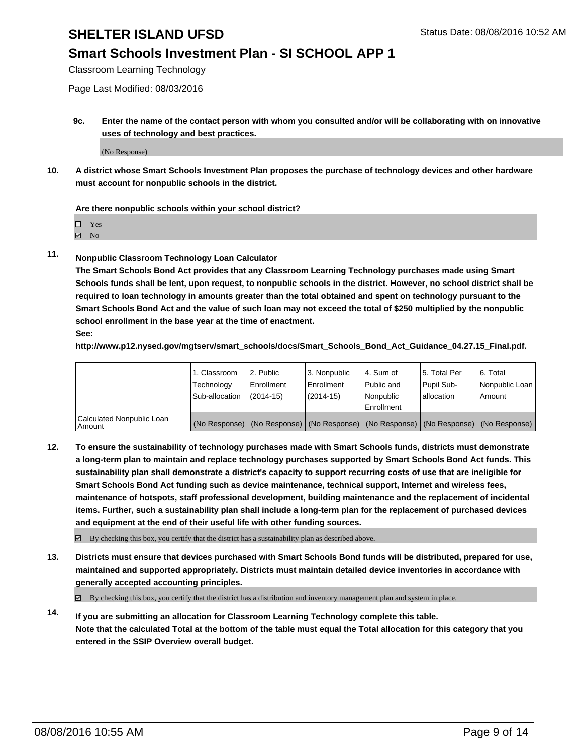### **Smart Schools Investment Plan - SI SCHOOL APP 1**

Classroom Learning Technology

Page Last Modified: 08/03/2016

**9c. Enter the name of the contact person with whom you consulted and/or will be collaborating with on innovative uses of technology and best practices.**

(No Response)

**10. A district whose Smart Schools Investment Plan proposes the purchase of technology devices and other hardware must account for nonpublic schools in the district.**

#### **Are there nonpublic schools within your school district?**

□ Yes

 $\boxtimes$  No

**11. Nonpublic Classroom Technology Loan Calculator**

**The Smart Schools Bond Act provides that any Classroom Learning Technology purchases made using Smart Schools funds shall be lent, upon request, to nonpublic schools in the district. However, no school district shall be required to loan technology in amounts greater than the total obtained and spent on technology pursuant to the Smart Schools Bond Act and the value of such loan may not exceed the total of \$250 multiplied by the nonpublic school enrollment in the base year at the time of enactment. See:**

**http://www.p12.nysed.gov/mgtserv/smart\_schools/docs/Smart\_Schools\_Bond\_Act\_Guidance\_04.27.15\_Final.pdf.**

|                                         | 1. Classroom   | 2. Public         | 3. Nonpublic                                                                                  | l 4. Sum of  | 5. Total Per | 6. Total       |
|-----------------------------------------|----------------|-------------------|-----------------------------------------------------------------------------------------------|--------------|--------------|----------------|
|                                         | Technology     | <b>Enrollment</b> | Enrollment                                                                                    | l Public and | Pupil Sub-   | Nonpublic Loan |
|                                         | Sub-allocation | $(2014 - 15)$     | $(2014-15)$                                                                                   | Nonpublic    | lallocation  | Amount         |
| Calculated Nonpublic Loan<br>l Amount i |                |                   | (No Response)   (No Response)   (No Response)   (No Response)   (No Response)   (No Response) | Enrollment   |              |                |

**12. To ensure the sustainability of technology purchases made with Smart Schools funds, districts must demonstrate a long-term plan to maintain and replace technology purchases supported by Smart Schools Bond Act funds. This sustainability plan shall demonstrate a district's capacity to support recurring costs of use that are ineligible for Smart Schools Bond Act funding such as device maintenance, technical support, Internet and wireless fees, maintenance of hotspots, staff professional development, building maintenance and the replacement of incidental items. Further, such a sustainability plan shall include a long-term plan for the replacement of purchased devices and equipment at the end of their useful life with other funding sources.**

By checking this box, you certify that the district has a sustainability plan as described above.

**13. Districts must ensure that devices purchased with Smart Schools Bond funds will be distributed, prepared for use, maintained and supported appropriately. Districts must maintain detailed device inventories in accordance with generally accepted accounting principles.**

 $\boxtimes$  By checking this box, you certify that the district has a distribution and inventory management plan and system in place.

**14. If you are submitting an allocation for Classroom Learning Technology complete this table. Note that the calculated Total at the bottom of the table must equal the Total allocation for this category that you entered in the SSIP Overview overall budget.**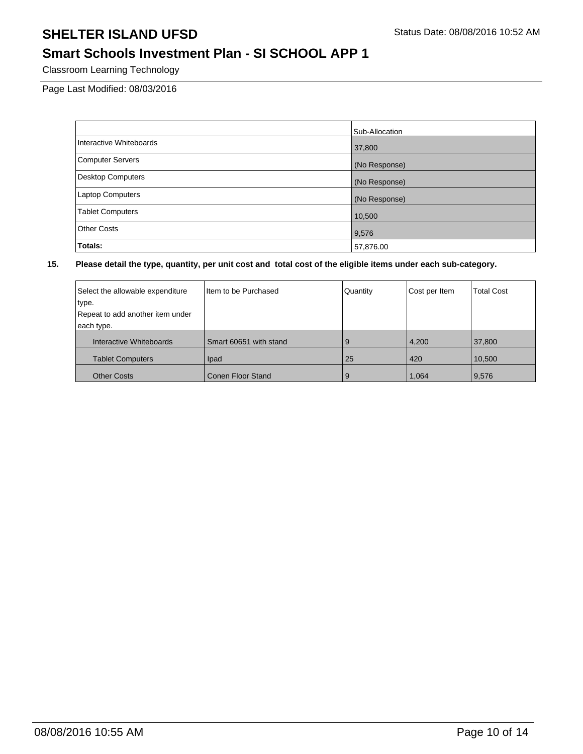### **Smart Schools Investment Plan - SI SCHOOL APP 1**

Classroom Learning Technology

Page Last Modified: 08/03/2016

|                          | Sub-Allocation |
|--------------------------|----------------|
| Interactive Whiteboards  | 37,800         |
| <b>Computer Servers</b>  | (No Response)  |
| <b>Desktop Computers</b> | (No Response)  |
| <b>Laptop Computers</b>  | (No Response)  |
| <b>Tablet Computers</b>  | 10,500         |
| <b>Other Costs</b>       | 9,576          |
| <b>Totals:</b>           | 57,876.00      |

| Select the allowable expenditure | Item to be Purchased   | Quantity | Cost per Item | <b>Total Cost</b> |
|----------------------------------|------------------------|----------|---------------|-------------------|
| type.                            |                        |          |               |                   |
| Repeat to add another item under |                        |          |               |                   |
| each type.                       |                        |          |               |                   |
| Interactive Whiteboards          | Smart 60651 with stand | 9        | 4,200         | 37,800            |
| <b>Tablet Computers</b>          | Ipad                   | 25       | 420           | 10,500            |
| <b>Other Costs</b>               | Conen Floor Stand      | 9        | 1.064         | 9,576             |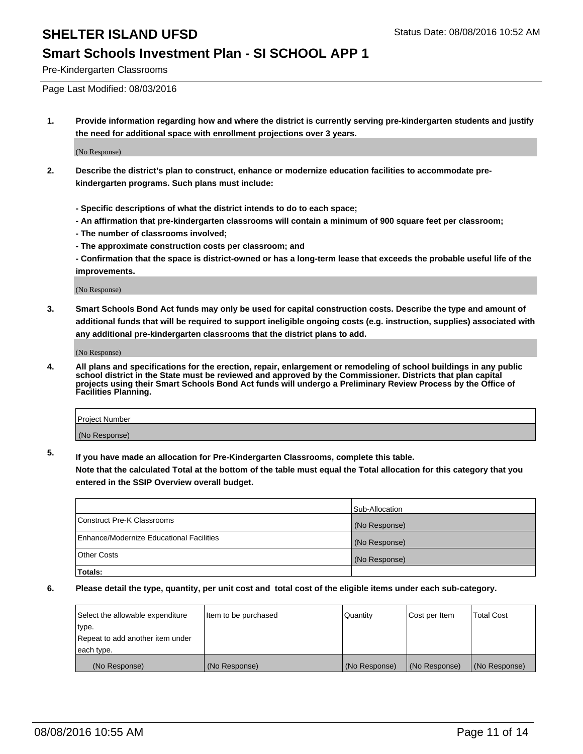#### **Smart Schools Investment Plan - SI SCHOOL APP 1**

Pre-Kindergarten Classrooms

Page Last Modified: 08/03/2016

**1. Provide information regarding how and where the district is currently serving pre-kindergarten students and justify the need for additional space with enrollment projections over 3 years.**

(No Response)

- **2. Describe the district's plan to construct, enhance or modernize education facilities to accommodate prekindergarten programs. Such plans must include:**
	- **Specific descriptions of what the district intends to do to each space;**
	- **An affirmation that pre-kindergarten classrooms will contain a minimum of 900 square feet per classroom;**
	- **The number of classrooms involved;**
	- **The approximate construction costs per classroom; and**
	- **Confirmation that the space is district-owned or has a long-term lease that exceeds the probable useful life of the improvements.**

(No Response)

**3. Smart Schools Bond Act funds may only be used for capital construction costs. Describe the type and amount of additional funds that will be required to support ineligible ongoing costs (e.g. instruction, supplies) associated with any additional pre-kindergarten classrooms that the district plans to add.**

(No Response)

**4. All plans and specifications for the erection, repair, enlargement or remodeling of school buildings in any public school district in the State must be reviewed and approved by the Commissioner. Districts that plan capital projects using their Smart Schools Bond Act funds will undergo a Preliminary Review Process by the Office of Facilities Planning.**

| Project Number |  |
|----------------|--|
| (No Response)  |  |

**5. If you have made an allocation for Pre-Kindergarten Classrooms, complete this table.**

**Note that the calculated Total at the bottom of the table must equal the Total allocation for this category that you entered in the SSIP Overview overall budget.**

|                                          | Sub-Allocation |
|------------------------------------------|----------------|
| Construct Pre-K Classrooms               | (No Response)  |
| Enhance/Modernize Educational Facilities | (No Response)  |
| <b>Other Costs</b>                       | (No Response)  |
| Totals:                                  |                |

| Select the allowable expenditure | ltem to be purchased | Quantity      | Cost per Item | <b>Total Cost</b> |
|----------------------------------|----------------------|---------------|---------------|-------------------|
| type.                            |                      |               |               |                   |
| Repeat to add another item under |                      |               |               |                   |
| each type.                       |                      |               |               |                   |
| (No Response)                    | (No Response)        | (No Response) | (No Response) | (No Response)     |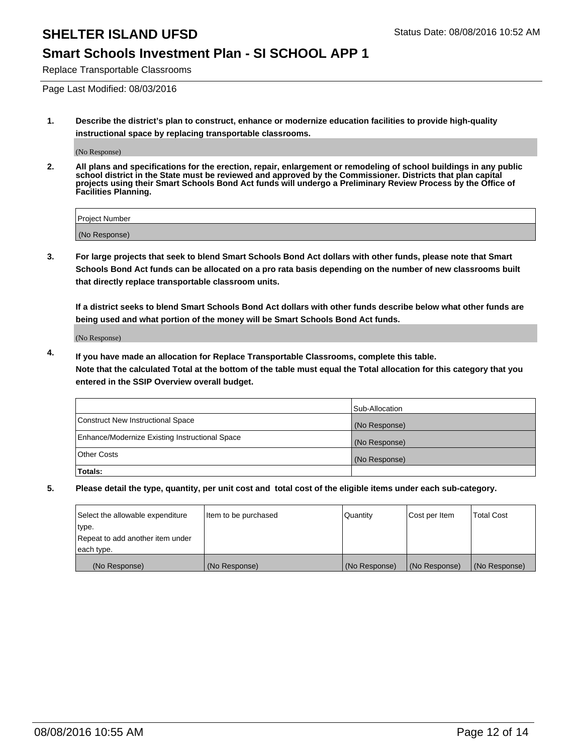### **Smart Schools Investment Plan - SI SCHOOL APP 1**

Replace Transportable Classrooms

Page Last Modified: 08/03/2016

**1. Describe the district's plan to construct, enhance or modernize education facilities to provide high-quality instructional space by replacing transportable classrooms.**

(No Response)

**2. All plans and specifications for the erection, repair, enlargement or remodeling of school buildings in any public school district in the State must be reviewed and approved by the Commissioner. Districts that plan capital projects using their Smart Schools Bond Act funds will undergo a Preliminary Review Process by the Office of Facilities Planning.**

| Project Number |  |
|----------------|--|
| (No Response)  |  |

**3. For large projects that seek to blend Smart Schools Bond Act dollars with other funds, please note that Smart Schools Bond Act funds can be allocated on a pro rata basis depending on the number of new classrooms built that directly replace transportable classroom units.**

**If a district seeks to blend Smart Schools Bond Act dollars with other funds describe below what other funds are being used and what portion of the money will be Smart Schools Bond Act funds.**

(No Response)

**4. If you have made an allocation for Replace Transportable Classrooms, complete this table. Note that the calculated Total at the bottom of the table must equal the Total allocation for this category that you entered in the SSIP Overview overall budget.**

|                                                | Sub-Allocation |
|------------------------------------------------|----------------|
| Construct New Instructional Space              | (No Response)  |
| Enhance/Modernize Existing Instructional Space | (No Response)  |
| Other Costs                                    | (No Response)  |
| Totals:                                        |                |

| Select the allowable expenditure | Item to be purchased | Quantity      | Cost per Item | <b>Total Cost</b> |
|----------------------------------|----------------------|---------------|---------------|-------------------|
| type.                            |                      |               |               |                   |
| Repeat to add another item under |                      |               |               |                   |
| each type.                       |                      |               |               |                   |
| (No Response)                    | (No Response)        | (No Response) | (No Response) | (No Response)     |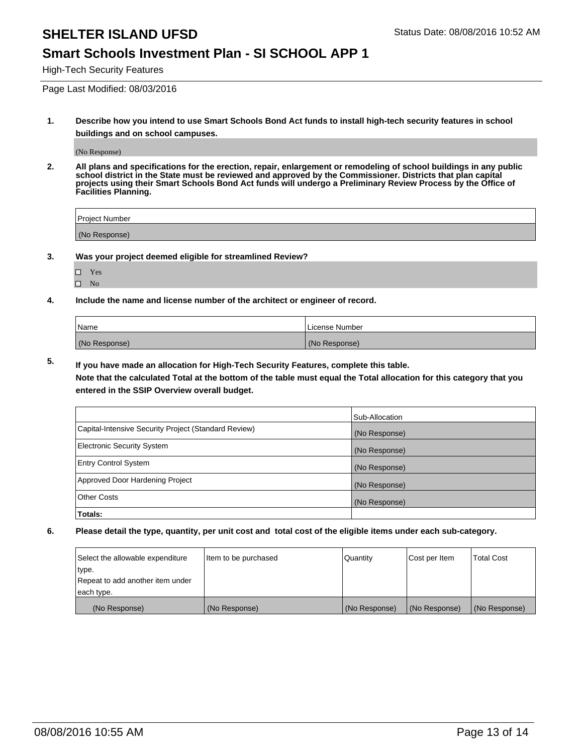#### **Smart Schools Investment Plan - SI SCHOOL APP 1**

High-Tech Security Features

Page Last Modified: 08/03/2016

**1. Describe how you intend to use Smart Schools Bond Act funds to install high-tech security features in school buildings and on school campuses.**

(No Response)

**2. All plans and specifications for the erection, repair, enlargement or remodeling of school buildings in any public school district in the State must be reviewed and approved by the Commissioner. Districts that plan capital projects using their Smart Schools Bond Act funds will undergo a Preliminary Review Process by the Office of Facilities Planning.** 

| Project Number |  |
|----------------|--|
| (No Response)  |  |

**3. Was your project deemed eligible for streamlined Review?**

□ Yes  $\hfill \square$  No

**4. Include the name and license number of the architect or engineer of record.**

| Name          | License Number |
|---------------|----------------|
| (No Response) | (No Response)  |

**5. If you have made an allocation for High-Tech Security Features, complete this table.**

**Note that the calculated Total at the bottom of the table must equal the Total allocation for this category that you entered in the SSIP Overview overall budget.**

|                                                      | Sub-Allocation |
|------------------------------------------------------|----------------|
| Capital-Intensive Security Project (Standard Review) | (No Response)  |
| <b>Electronic Security System</b>                    | (No Response)  |
| <b>Entry Control System</b>                          | (No Response)  |
| Approved Door Hardening Project                      | (No Response)  |
| <b>Other Costs</b>                                   | (No Response)  |
| Totals:                                              |                |

| Select the allowable expenditure | litem to be purchased | Quantity      | Cost per Item | <b>Total Cost</b> |
|----------------------------------|-----------------------|---------------|---------------|-------------------|
| type.                            |                       |               |               |                   |
| Repeat to add another item under |                       |               |               |                   |
| each type.                       |                       |               |               |                   |
| (No Response)                    | (No Response)         | (No Response) | (No Response) | (No Response)     |